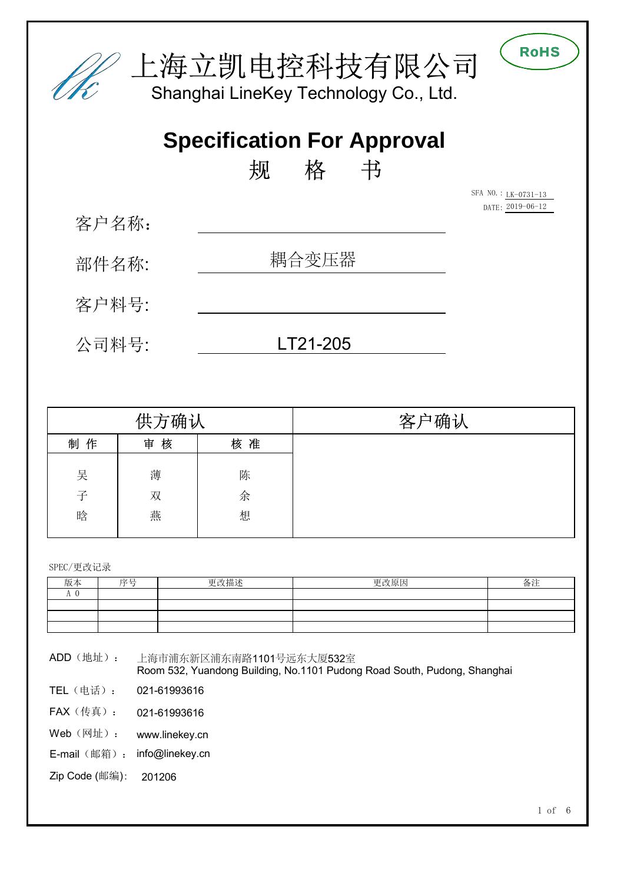

|    | 供方确认   |    | 确认<br>客<br>∸ |
|----|--------|----|--------------|
| 制作 | 核<br>审 | 核准 |              |
|    |        |    |              |
| 吴  | 薄      | 陈  |              |
| 子  | 双      | 余  |              |
| 晗  | 燕      | 想  |              |
|    |        |    |              |

SPEC/更改记录

| 版本            | 序号 | 更改描述 | 更改原因 | 备注 |
|---------------|----|------|------|----|
| $\sim$<br>A V |    |      |      |    |
|               |    |      |      |    |
|               |    |      |      |    |
|               |    |      |      |    |

ADD(地址): 上海市浦东新区浦东南路1101号远东大厦532室 Room 532, Yuandong Building, No.1101 Pudong Road South, Pudong, Shanghai

- TEL(电话): 021-61993616
- FAX(传真): 021-61993616
- Web<sup>(网址)</sup>: [www.linekey.cn](http://www.linekey.cn)
- E-mail (邮箱): [info@linekey.cn](mailto:info@linekey.cn)
- Zip Code (邮编): 201206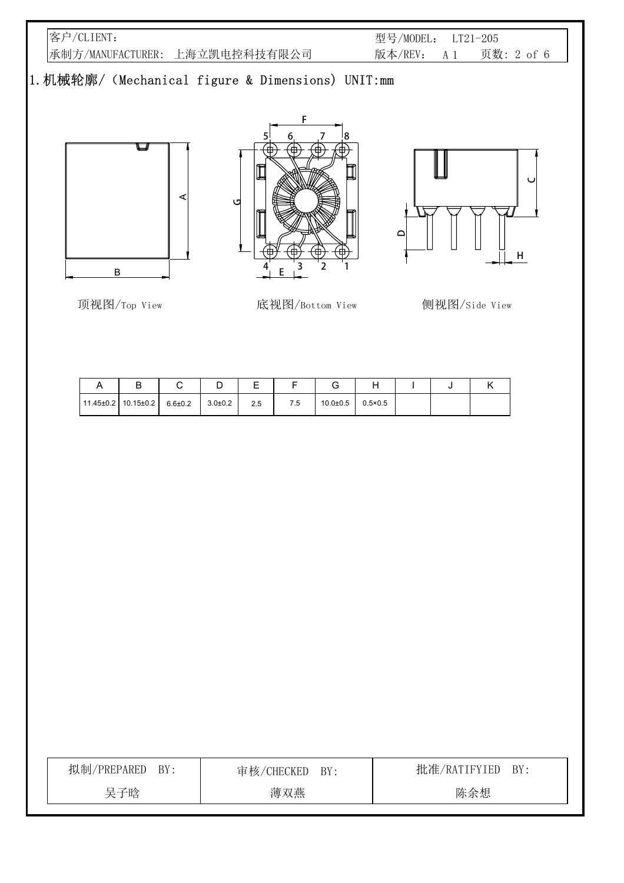客户/CLIENT: 承制方/MANUFACTURER: 上海立凯电控科技有限公司 型号/MODEL: LT21-205 版本/REV: A 1 页数: 2 of 6

# 1.机械轮廓/(Mechanical figure & Dimensions) UNIT:mm







顶视图/Top View 底视图/Bottom View 侧视图/Side View



| ◡                               |               | ◡           | _   |     |              |                  |  |  |
|---------------------------------|---------------|-------------|-----|-----|--------------|------------------|--|--|
| $11.45 \pm 0.2$ 10.15 $\pm$ 0.2 | $6.6{\pm}0.2$ | $3.0 + 0.2$ | 2.5 | 7.5 | $10.0 + 0.5$ | $0.5 \times 0.5$ |  |  |

| 拟制/PREPARED BY: | 审核/CHECKED BY: | 批准/RATIFYIED BY: |
|-----------------|----------------|------------------|
| 吴子晗             | 薄双燕            | 陈余想              |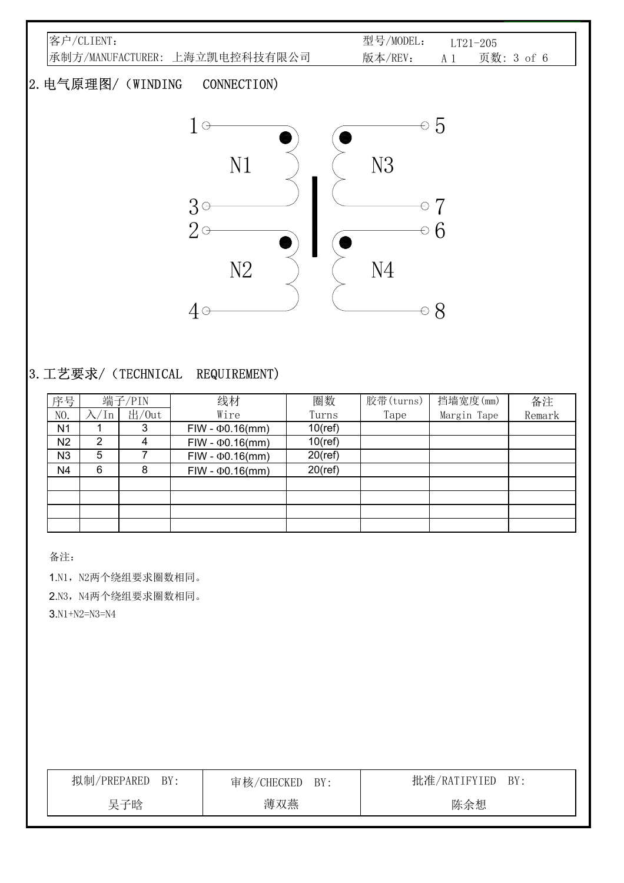| 客户/CLIENT:                        | 型号/MODEL:<br>$LT21-205$      |
|-----------------------------------|------------------------------|
| 承制方/MANUFACTURER: 上海立凯电控科技有限公司    | 版本/REV:<br>页数: 3 of 6<br>A 1 |
| 2. 电气原理图/ (WINDING<br>CONNECTION) |                              |
| $1\, \circ$                       | $\circ~5$                    |
| N1                                | N3                           |
| $3^{\circ}$                       |                              |
| $2\circ$                          | 6                            |
| N <sub>2</sub>                    | N<br>$\Delta$                |

#### 3.工艺要求/(TECHNICAL REQUIREMENT)

| 序号             |    | 端子/PIN | 线材                     | 圈数         | 胶带(turns) | 挡墙宽度(mm)    | 备注     |
|----------------|----|--------|------------------------|------------|-----------|-------------|--------|
| NO.            | In | 出/0ut  | Wire                   | Turns      | Tape      | Margin Tape | Remark |
| N <sub>1</sub> |    | 3      | $FIW - \Phi 0.16$ (mm) | $10$ (ref) |           |             |        |
| N <sub>2</sub> | 2  | 4      | $FIW - \Phi 0.16$ (mm) | $10$ (ref) |           |             |        |
| N <sub>3</sub> | 5  |        | $FIW - \Phi 0.16$ (mm) | $20$ (ref) |           |             |        |
| N <sub>4</sub> | 6  | 8      | $FIW - \Phi 0.16$ (mm) | $20$ (ref) |           |             |        |
|                |    |        |                        |            |           |             |        |
|                |    |        |                        |            |           |             |        |
|                |    |        |                        |            |           |             |        |
|                |    |        |                        |            |           |             |        |

 $40$   $0$   $0$   $0$   $0$ 

备注:

1.N1, N2两个绕组要求圈数相同。

2.N3, N4两个绕组要求圈数相同。

3.N1+N2=N3=N4

| 拟制/PREPARED<br>BY: | 审核/CHECKED BY: | 批准/RATIFYIED<br>BY: |
|--------------------|----------------|---------------------|
| 吴子晗                | 薄双燕            | 陈余想                 |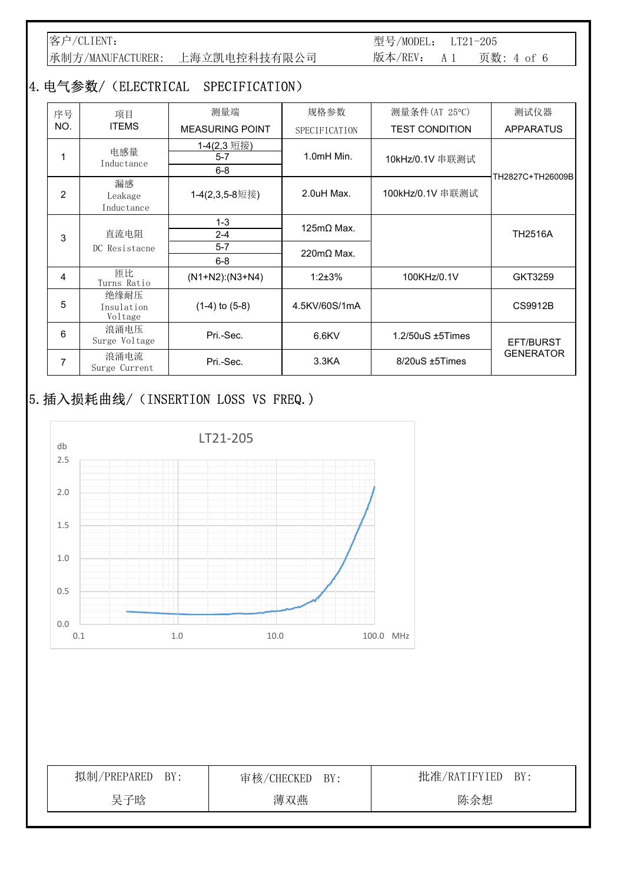客户/CLIENT: 承制方/MANUFACTURER: 上海立凯电控科技有限公司 型号/MODEL: LT21-205 版本/REV: A 1 页数: 4 of 6

### 4.电气参数/(ELECTRICAL SPECIFICATION)

| 序号             | 项目                            | 测量端                                  | 规格参数                                                   | 测量条件(AT 25℃)           | 测试仪器             |
|----------------|-------------------------------|--------------------------------------|--------------------------------------------------------|------------------------|------------------|
| NO.            | <b>ITEMS</b>                  | <b>MEASURING POINT</b>               | SPECIFICATION                                          | <b>TEST CONDITION</b>  | <b>APPARATUS</b> |
| 1              | 电感量<br>Inductance             | 1-4(2,3 短接)<br>$5 - 7$<br>$6 - 8$    | 1.0mH Min.                                             | 10kHz/0.1V 串联测试        | TH2827C+TH26009B |
| $\overline{2}$ | 漏感<br>Leakage<br>Inductance   | 1-4(2,3,5-8短接)                       | 2.0uH Max.                                             | 100kHz/0.1V 串联测试       |                  |
| 3              | 直流电阻<br>DC Resistacne         | $1 - 3$<br>$2 - 4$<br>$5-7$<br>$6-8$ | $125 \text{m}\Omega$ Max.<br>$220 \text{m}\Omega$ Max. |                        | <b>TH2516A</b>   |
| 4              | 匝比<br>Turns Ratio             | $(N1+N2):(N3+N4)$                    | $1:2+3%$                                               | 100KHz/0.1V            | GKT3259          |
| 5              | 绝缘耐压<br>Insulation<br>Voltage | $(1-4)$ to $(5-8)$                   | 4.5KV/60S/1mA                                          |                        | CS9912B          |
| 6              | 浪涌电压<br>Surge Voltage         | Pri.-Sec.                            | $6.6$ KV                                               | $1.2/50uS \pm 5$ Times | EFT/BURST        |
| 7              | 浪涌电流<br>Surge Current         | Pri.-Sec.                            | 3.3 <sub>K</sub> A                                     | $8/20uS \pm 5$ Times   | <b>GENERATOR</b> |

# 5.插入损耗曲线/(INSERTION LOSS VS FREQ.)



| 拟制/PREPARED BY: | 审核/CHECKED BY: | 批准/RATIFYIED BY: |
|-----------------|----------------|------------------|
| 吴子晗             | 薄双燕            | 陈余想              |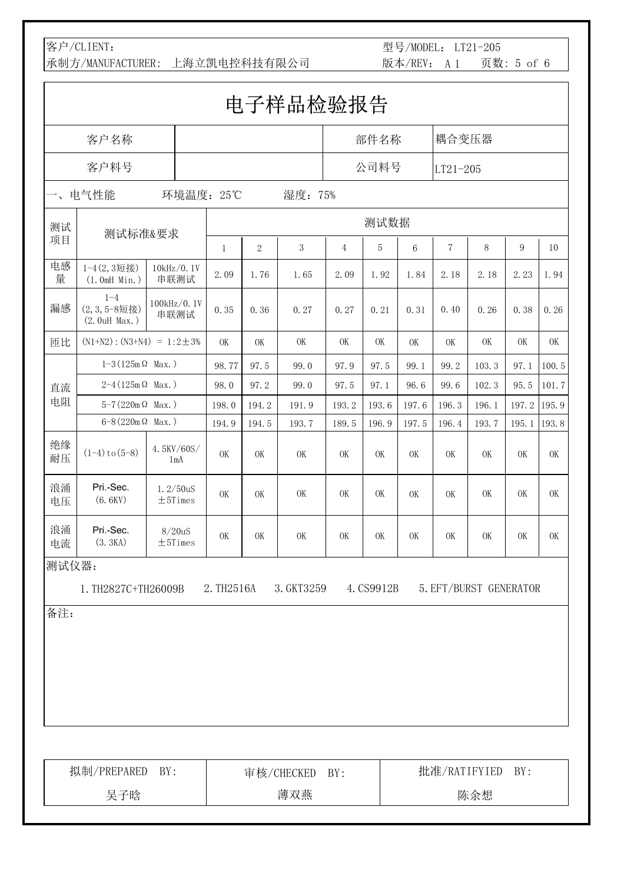### 客户/CLIENT:

承制方/MANUFACTURER: 上海立凯电控科技有限公司

型号/MODEL: LT21-205 版本/REV: A 1 页数: 5 of 6

| 电子样品检验报告                 |                                          |                          |              |            |            |                |            |           |            |                        |           |           |
|--------------------------|------------------------------------------|--------------------------|--------------|------------|------------|----------------|------------|-----------|------------|------------------------|-----------|-----------|
| 客户名称                     |                                          |                          |              |            |            |                | 部件名称       |           | 耦合变压器      |                        |           |           |
|                          | 客户料号                                     |                          |              |            |            |                | 公司料号       |           | $LT21-205$ |                        |           |           |
| $\overline{\phantom{a}}$ | 电气性能                                     | 环境温度: 25℃                |              |            | 湿度: 75%    |                |            |           |            |                        |           |           |
| 测试                       |                                          |                          |              |            |            |                | 测试数据       |           |            |                        |           |           |
| 项目                       | 测试标准&要求                                  |                          | $\mathbf{1}$ | $\sqrt{2}$ | $\sqrt{3}$ | $\overline{4}$ | 5          | 6         | $\sqrt{ }$ | 8                      | 9         | 10        |
| 电感<br>量                  | 1-4(2,3短接)<br>(1.0mH Min.)               | 10kHz/0.1V<br>串联测试       | 2.09         | 1.76       | 1.65       | 2.09           | 1.92       | 1.84      | 2.18       | 2.18                   | 2.23      | 1.94      |
| 漏感                       | $1 - 4$<br>(2,3,5-8短接)<br>$(2.0uH$ Max.) | 100kHz/0.1V<br>串联测试      | 0.35         | 0.36       | 0.27       | 0.27           | 0.21       | 0.31      | 0.40       | 0.26                   | 0.38      | 0.26      |
| 匝比                       | $(N1+N2)$ : $(N3+N4) = 1:2 \pm 3%$       |                          | 0K           | OK         | 0K         | 0K             | OK         | 0K        | 0K         | 0K                     | 0K        | 0K        |
|                          | $1-3(125m\Omega$ Max.)                   |                          | 98.77        | 97.5       | 99.0       | 97.9           | 97.5       | 99.1      | 99.2       | 103.3                  | 97.1      | 100.5     |
| 直流                       | $2 - 4(125 \text{m}\,\Omega$ Max.)       |                          | 98.0         | 97.2       | 99.0       | 97.5           | 97.1       | 96.6      | 99.6       | 102.3                  | 95.5      | 101.7     |
| 电阻                       | $5-7(220 \text{m}\,\Omega$ Max.)         |                          | 198.0        | 194.2      | 191.9      | 193.2          | 193.6      | 197.6     | 196.3      | 196.1                  | 197.2     | 195.9     |
|                          | $6 - 8 (220 \text{m} \Omega$ Max.)       |                          | 194.9        | 194.5      | 193.7      | 189.5          | 196.9      | 197.5     | 196.4      | 193.7                  | 195.1     | 193.8     |
| 绝缘<br>耐压                 | $(1-4)$ to $(5-8)$                       | 4.5KV/60S/<br>1mA        | 0K           | OK         | 0K         | <b>OK</b>      | OK         | 0K        | OK         | 0K                     | 0K        | 0K        |
| 浪涌<br>电压                 | Pri.-Sec.<br>(6.6KV)                     | 1.2/50uS<br>$\pm$ 5Times | <b>OK</b>    | OK         | 0K         | <b>OK</b>      | OK         | <b>OK</b> | OK         | <b>OK</b>              | <b>OK</b> | <b>OK</b> |
| 浪涌<br>电流                 | Pri.-Sec.<br>(3.3KA)                     | 8/20uS<br>±5Times        | <b>OK</b>    | <b>OK</b>  | 0K         | <b>OK</b>      | OK         | <b>OK</b> | OK         | 0K                     | 0K        | <b>OK</b> |
| 测试仪器:                    |                                          |                          |              |            |            |                |            |           |            |                        |           |           |
|                          | 1. TH2827C+TH26009B                      |                          | 2. TH2516A   |            | 3. GKT3259 |                | 4. CS9912B |           |            | 5. EFT/BURST GENERATOR |           |           |
| 备注:                      |                                          |                          |              |            |            |                |            |           |            |                        |           |           |
|                          |                                          |                          |              |            |            |                |            |           |            |                        |           |           |
|                          |                                          |                          |              |            |            |                |            |           |            |                        |           |           |
|                          |                                          |                          |              |            |            |                |            |           |            |                        |           |           |
|                          |                                          |                          |              |            |            |                |            |           |            |                        |           |           |
|                          |                                          |                          |              |            |            |                |            |           |            |                        |           |           |
|                          |                                          |                          |              |            |            |                |            |           |            |                        |           |           |
|                          | 拟制/PREPARED                              | BY:                      |              |            | 审核/CHECKED | BY:            |            |           |            | 批准/RATIFYIED           | BY:       |           |
|                          | 吴子晗                                      |                          |              |            | 薄双燕        |                |            |           |            | 陈余想                    |           |           |